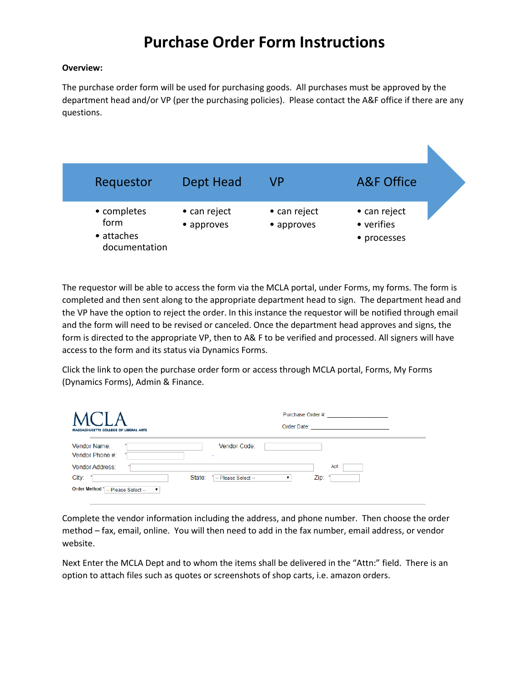#### **Overview:**

The purchase order form will be used for purchasing goods. All purchases must be approved by the department head and/or VP (per the purchasing policies). Please contact the A&F office if there are any questions.

| Requestor                                          | Dept Head                  | VP                         | <b>A&amp;F Office</b>                     |  |
|----------------------------------------------------|----------------------------|----------------------------|-------------------------------------------|--|
| • completes<br>form<br>• attaches<br>documentation | • can reject<br>• approves | • can reject<br>• approves | • can reject<br>• verifies<br>• processes |  |

The requestor will be able to access the form via the MCLA portal, under Forms, my forms. The form is completed and then sent along to the appropriate department head to sign. The department head and the VP have the option to reject the order. In this instance the requestor will be notified through email and the form will need to be revised or canceled. Once the department head approves and signs, the form is directed to the appropriate VP, then to A& F to be verified and processed. All signers will have access to the form and its status via Dynamics Forms.

Click the link to open the purchase order form or access through MCLA portal, Forms, My Forms (Dynamics Forms), Admin & Finance.

| <b>MASSACHUSETTS COLLEGE OF LIBERAL ARTS</b> | Purchase Order #:<br>Order Date: |  |
|----------------------------------------------|----------------------------------|--|
| Vendor Name:<br>Vendor Phone #:              | Vendor Code:<br>$\sim$           |  |
| Vendor Address:                              | Apt:                             |  |
| City:<br>State:                              | Zip:<br>* -- Please Select --    |  |
| Order Method * -- Please Select --           |                                  |  |

Complete the vendor information including the address, and phone number. Then choose the order method – fax, email, online. You will then need to add in the fax number, email address, or vendor website.

Next Enter the MCLA Dept and to whom the items shall be delivered in the "Attn:" field. There is an option to attach files such as quotes or screenshots of shop carts, i.e. amazon orders.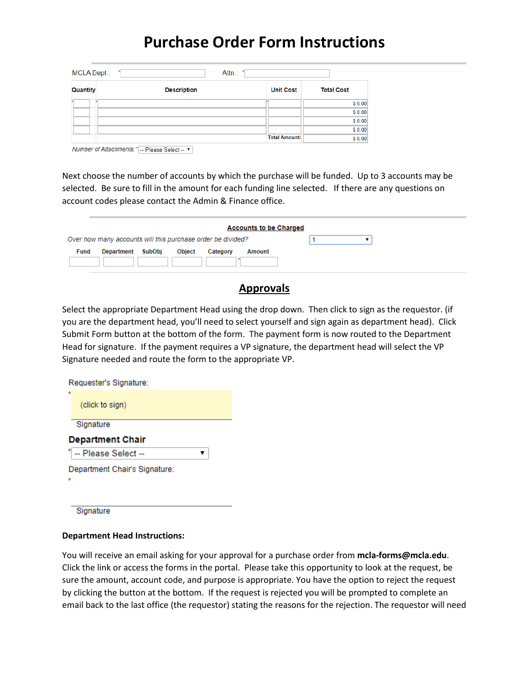| MCLA Dept.: | Attn.:             | $\star$              |                   |
|-------------|--------------------|----------------------|-------------------|
| Quantity    | <b>Description</b> | <b>Unit Cost</b>     | <b>Total Cost</b> |
|             |                    |                      | \$0.00            |
|             |                    |                      | \$0.00            |
|             |                    |                      | \$0.00            |
|             |                    |                      | \$0.00            |
|             |                    | <b>Total Amount:</b> | \$0.00            |

Number of Attachments: \*| -- Please Select -- ▼ |

Next choose the number of accounts by which the purchase will be funded. Up to 3 accounts may be selected. Be sure to fill in the amount for each funding line selected. If there are any questions on account codes please contact the Admin & Finance office.

| SubObi<br><b>Object</b><br>Department<br>Category<br>Fund<br>Amount | <b>Accounts to be Charged</b>                               |  |
|---------------------------------------------------------------------|-------------------------------------------------------------|--|
|                                                                     | Over how many accounts will this purchase order be divided? |  |
|                                                                     |                                                             |  |
|                                                                     |                                                             |  |

### **Approvals**

Select the appropriate Department Head using the drop down. Then click to sign as the requestor. (if you are the department head, you'll need to select yourself and sign again as department head). Click Submit Form button at the bottom of the form. The payment form is now routed to the Department Head for signature. If the payment requires a VP signature, the department head will select the VP Signature needed and route the form to the appropriate VP.

| Requester's Signature:  |  |
|-------------------------|--|
| ÷<br>(click to sign)    |  |
| Signature               |  |
|                         |  |
| <b>Department Chair</b> |  |
| -- Please Select --     |  |

Signature

#### **Department Head Instructions:**

You will receive an email asking for your approval for a purchase order from **mcla-forms@mcla.edu**. Click the link or access the forms in the portal. Please take this opportunity to look at the request, be sure the amount, account code, and purpose is appropriate. You have the option to reject the request by clicking the button at the bottom. If the request is rejected you will be prompted to complete an email back to the last office (the requestor) stating the reasons for the rejection. The requestor will need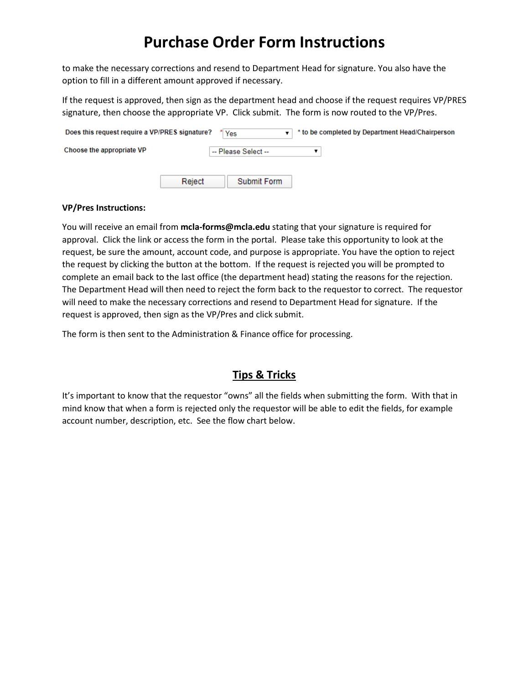to make the necessary corrections and resend to Department Head for signature. You also have the option to fill in a different amount approved if necessary.

If the request is approved, then sign as the department head and choose if the request requires VP/PRES signature, then choose the appropriate VP. Click submit. The form is now routed to the VP/Pres.

| Does this request require a VP/PRES signature? |        | Yes                 | * to be completed by Department Head/Chairperson |
|------------------------------------------------|--------|---------------------|--------------------------------------------------|
| Choose the appropriate VP                      |        | -- Please Select -- |                                                  |
|                                                | Reject | <b>Submit Form</b>  |                                                  |

#### **VP/Pres Instructions:**

You will receive an email from **mcla-forms@mcla.edu** stating that your signature is required for approval. Click the link or access the form in the portal. Please take this opportunity to look at the request, be sure the amount, account code, and purpose is appropriate. You have the option to reject the request by clicking the button at the bottom. If the request is rejected you will be prompted to complete an email back to the last office (the department head) stating the reasons for the rejection. The Department Head will then need to reject the form back to the requestor to correct. The requestor will need to make the necessary corrections and resend to Department Head for signature. If the request is approved, then sign as the VP/Pres and click submit.

The form is then sent to the Administration & Finance office for processing.

### **Tips & Tricks**

It's important to know that the requestor "owns" all the fields when submitting the form. With that in mind know that when a form is rejected only the requestor will be able to edit the fields, for example account number, description, etc. See the flow chart below.